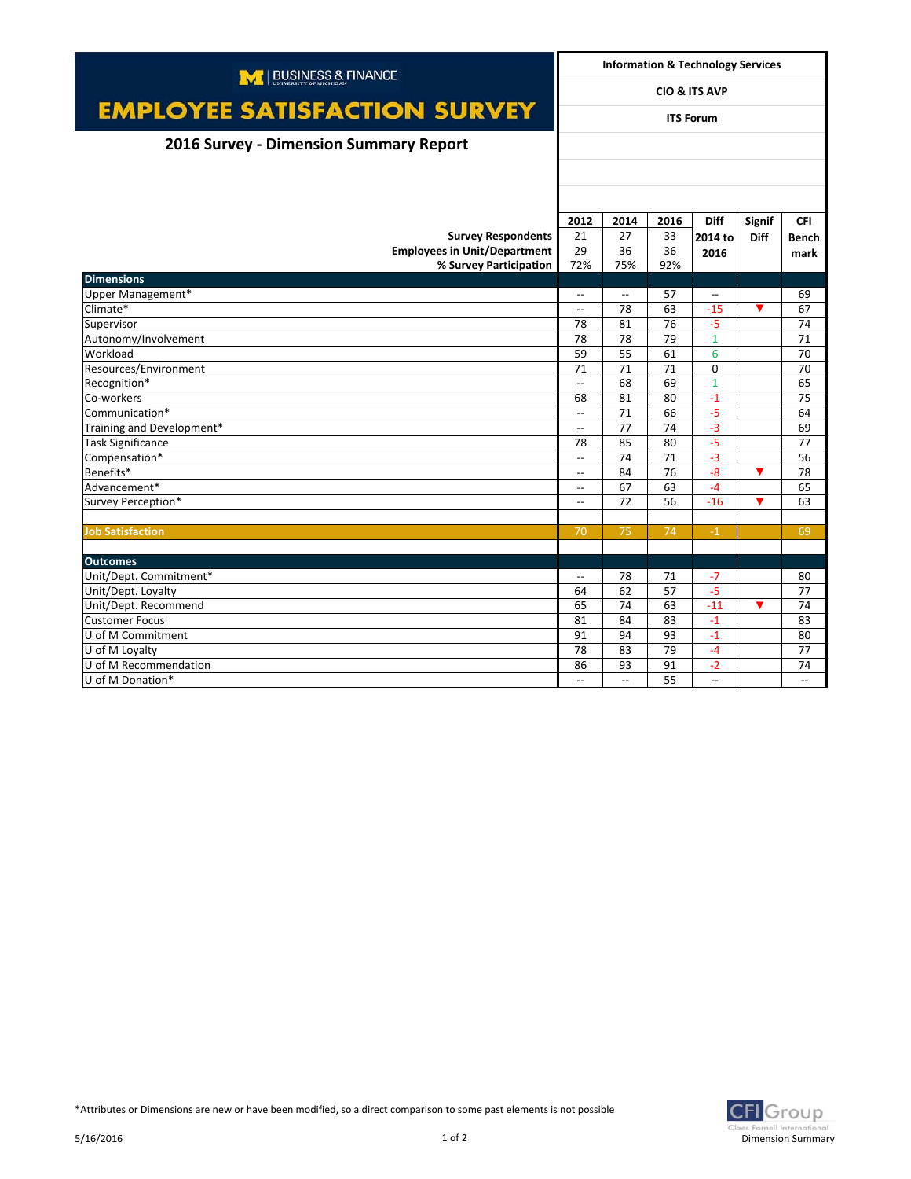| M   BUSINESS & FINANCE                    |                                | <b>Information &amp; Technology Services</b> |          |                                  |                      |                                |  |
|-------------------------------------------|--------------------------------|----------------------------------------------|----------|----------------------------------|----------------------|--------------------------------|--|
|                                           | <b>CIO &amp; ITS AVP</b>       |                                              |          |                                  |                      |                                |  |
| <b>EMPLOYEE SATISFACTION SURVEY</b>       | <b>ITS Forum</b>               |                                              |          |                                  |                      |                                |  |
| 2016 Survey - Dimension Summary Report    |                                |                                              |          |                                  |                      |                                |  |
|                                           |                                |                                              |          |                                  |                      |                                |  |
|                                           |                                |                                              |          |                                  |                      |                                |  |
|                                           | 2012                           | 2014                                         | 2016     | <b>Diff</b>                      | <b>Signif</b>        | <b>CFI</b>                     |  |
| <b>Survey Respondents</b>                 | 21                             | 27                                           | 33       | 2014 to                          | <b>Diff</b>          | <b>Bench</b>                   |  |
| <b>Employees in Unit/Department</b>       | 29                             | 36                                           | 36       | 2016                             |                      | mark                           |  |
| % Survey Participation                    | 72%                            | 75%                                          | 92%      |                                  |                      |                                |  |
| <b>Dimensions</b>                         |                                |                                              |          |                                  |                      |                                |  |
| Upper Management*                         | $\hspace{0.05cm} \ldots$       | $\overline{\phantom{a}}$                     | 57       | $\overline{\phantom{a}}$         |                      | 69                             |  |
| Climate*                                  | $\overline{\phantom{a}}$       | 78                                           | 63       | $-15$                            | $\blacktriangledown$ | 67                             |  |
| Supervisor                                | 78                             | 81                                           | 76       | $-5$                             |                      | 74                             |  |
| Autonomy/Involvement                      | 78                             | 78                                           | 79       | $\mathbf{1}$                     |                      | 71                             |  |
| Workload                                  | 59                             | 55                                           | 61       | 6                                |                      | 70                             |  |
| Resources/Environment                     | 71                             | 71                                           | 71       | $\mathbf 0$                      |                      | 70                             |  |
| Recognition*                              | $\overline{\phantom{a}}$       | 68                                           | 69       | $\mathbf{1}$                     |                      | 65                             |  |
| Co-workers                                | 68                             | 81                                           | 80       | $-1$                             |                      | 75                             |  |
| Communication*                            | $\overline{\phantom{a}}$       | 71                                           | 66       | $-5$                             |                      | 64                             |  |
| Training and Development*                 | $\overline{\phantom{a}}$       | 77                                           | 74       | $-3$                             |                      | 69                             |  |
| <b>Task Significance</b>                  | 78                             | 85                                           | 80       | $-5$                             |                      | 77                             |  |
| Compensation*                             | $\overline{\phantom{a}}$       | 74                                           | 71       | $-3$                             |                      | 56                             |  |
| Benefits*                                 | $\overline{\phantom{a}}$       | 84                                           | 76       | $-8$                             | ▼                    | 78                             |  |
| Advancement*                              | $\overline{\phantom{a}}$       | 67                                           | 63       | $-4$                             |                      | 65                             |  |
| Survey Perception*                        | $\overline{\phantom{a}}$       | 72                                           | 56       | $-16$                            | $\blacktriangledown$ | 63                             |  |
|                                           |                                |                                              |          |                                  |                      |                                |  |
| <b>Job Satisfaction</b>                   | 70                             | 75                                           | 74       | $-1$                             |                      | 69                             |  |
|                                           |                                |                                              |          |                                  |                      |                                |  |
| <b>Outcomes</b>                           |                                |                                              |          |                                  |                      |                                |  |
| Unit/Dept. Commitment*                    | $\overline{\phantom{a}}$       | 78                                           | 71       | $-7$                             |                      | 80                             |  |
| Unit/Dept. Loyalty                        | 64                             | 62<br>74                                     | 57       | $-5$                             |                      | 77                             |  |
| Unit/Dept. Recommend                      | 65                             |                                              | 63       | $-11$                            | $\blacktriangledown$ | 74                             |  |
| <b>Customer Focus</b>                     | 81                             | 84                                           | 83       | $-1$                             |                      | 83                             |  |
| U of M Commitment                         | 91<br>78                       | 94<br>83                                     | 93<br>79 | $-1$                             |                      | 80                             |  |
| U of M Loyalty                            |                                |                                              |          | $-4$                             |                      | 77                             |  |
| U of M Recommendation<br>U of M Donation* | 86<br>$\overline{\phantom{a}}$ | 93<br>$\overline{\phantom{a}}$               | 91<br>55 | $-2$<br>$\overline{\phantom{0}}$ |                      | 74<br>$\overline{\phantom{a}}$ |  |
|                                           |                                |                                              |          |                                  |                      |                                |  |